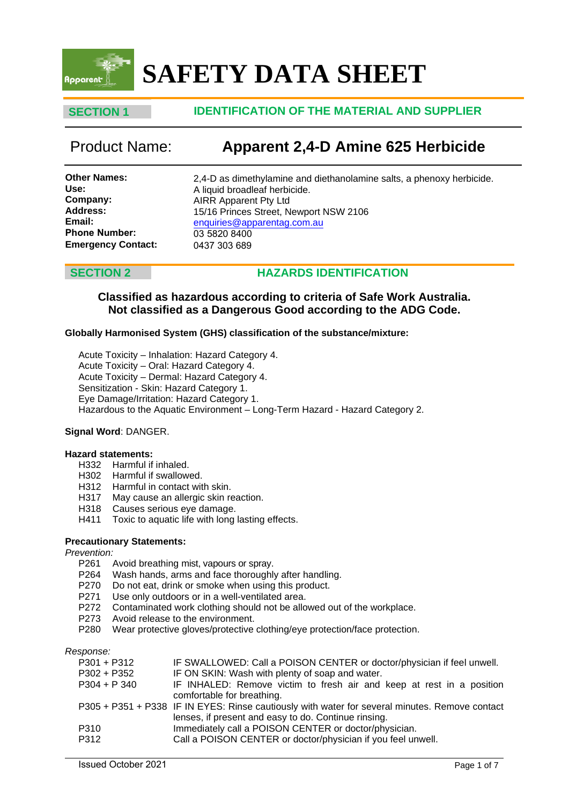

# **SAFETY DATA SHEET**

# **SECTION 1 IDENTIFICATION OF THE MATERIAL AND SUPPLIER**

# Product Name: **Apparent 2,4-D Amine 625 Herbicide**

**Other Names: Use: Company: Address: Email: Phone Number: Emergency Contact:** 2,4-D as dimethylamine and diethanolamine salts, a phenoxy herbicide. A liquid broadleaf herbicide. AIRR Apparent Pty Ltd 15/16 Princes Street, Newport NSW 2106 enquiries@apparentag.com.au [03 5820](mailto:enquiries@apparentag.com.au) 8400 0437 303 689

# **SECTION 2 HAZARDS IDENTIFICATION**

### **Classified as hazardous according to criteria of Safe Work Australia. Not classified as a Dangerous Good according to the ADG Code.**

### **Globally Harmonised System (GHS) classification of the substance/mixture:**

Acute Toxicity – Inhalation: Hazard Category 4. Acute Toxicity – Oral: Hazard Category 4. Acute Toxicity – Dermal: Hazard Category 4. Sensitization - Skin: Hazard Category 1. Eye Damage/Irritation: Hazard Category 1. Hazardous to the Aquatic Environment – Long-Term Hazard - Hazard Category 2.

### **Signal Word**: DANGER.

#### **Hazard statements:**

- H332 Harmful if inhaled.
- H302 Harmful if swallowed.
- H312 Harmful in contact with skin.
- H317 May cause an allergic skin reaction.
- H318 Causes serious eye damage.
- H411 Toxic to aquatic life with long lasting effects.

### **Precautionary Statements:**

# *Prevention:*

- P261 Avoid breathing mist, vapours or spray.<br>P264 Wash hands, arms and face thoroughl
- Wash hands, arms and face thoroughly after handling.
- P270 Do not eat, drink or smoke when using this product.
- P271 Use only outdoors or in a well-ventilated area.
- P272 Contaminated work clothing should not be allowed out of the workplace.
- P273 Avoid release to the environment.
- P280 Wear protective gloves/protective clothing/eye protection/face protection.

*Response:*

| $P301 + P312$ | IF SWALLOWED: Call a POISON CENTER or doctor/physician if feel unwell.                         |
|---------------|------------------------------------------------------------------------------------------------|
| P302 + P352   | IF ON SKIN: Wash with plenty of soap and water.                                                |
| $P304 + P340$ | IF INHALED: Remove victim to fresh air and keep at rest in a position                          |
|               | comfortable for breathing.                                                                     |
|               | P305 + P351 + P338 IF IN EYES: Rinse cautiously with water for several minutes. Remove contact |
|               | lenses, if present and easy to do. Continue rinsing.                                           |
| P310          | Immediately call a POISON CENTER or doctor/physician.                                          |
| P312          | Call a POISON CENTER or doctor/physician if you feel unwell.                                   |
|               |                                                                                                |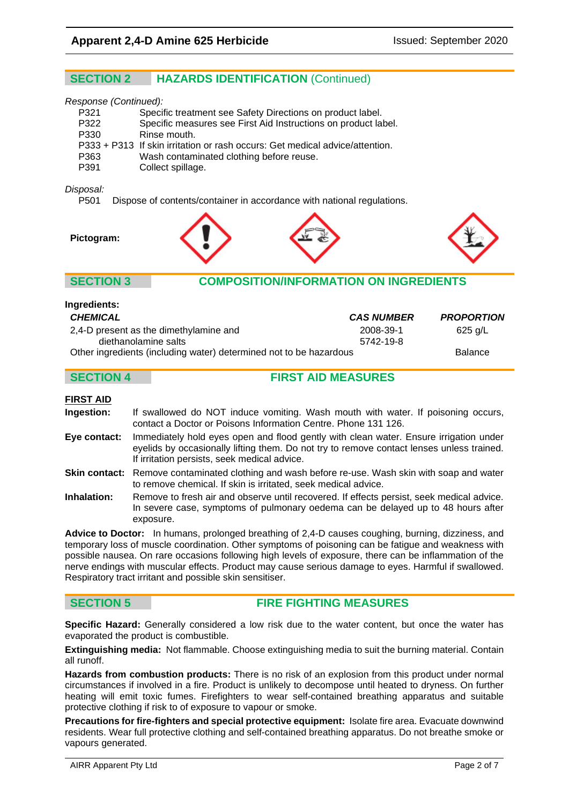# **SECTION 2 HAZARDS IDENTIFICATION** (Continued)

#### *Response (Continued):*

| P321 | Specific treatment see Safety Directions on product label.                   |
|------|------------------------------------------------------------------------------|
| P322 | Specific measures see First Aid Instructions on product label.               |
| P330 | Rinse mouth.                                                                 |
|      | P333 + P313 If skin irritation or rash occurs: Get medical advice/attention. |
| P363 | Wash contaminated clothing before reuse.                                     |
| P391 | Collect spillage.                                                            |

#### *Disposal:*

P501 Dispose of contents/container in accordance with national regulations.



### **SECTION 3 COMPOSITION/INFORMATION ON INGREDIENTS**

| <b>CHEMICAL</b>                                                    | <b>CAS NUMBER</b> | <b>PROPORTION</b> |
|--------------------------------------------------------------------|-------------------|-------------------|
| 2,4-D present as the dimethylamine and                             | 2008-39-1         | 625 g/L           |
| diethanolamine salts                                               | 5742-19-8         |                   |
| Other ingredients (including water) determined not to be hazardous |                   | <b>Balance</b>    |

### **SECTION 4 FIRST AID MEASURES**

#### **FIRST AID**

**Ingredients:**

**Ingestion:** If swallowed do NOT induce vomiting. Wash mouth with water. If poisoning occurs, contact a Doctor or Poisons Information Centre. Phone 131 126.

**Eye contact:** Immediately hold eyes open and flood gently with clean water. Ensure irrigation under eyelids by occasionally lifting them. Do not try to remove contact lenses unless trained. If irritation persists, seek medical advice.

**Skin contact:** Remove contaminated clothing and wash before re-use. Wash skin with soap and water to remove chemical. If skin is irritated, seek medical advice.

**Inhalation:** Remove to fresh air and observe until recovered. If effects persist, seek medical advice. In severe case, symptoms of pulmonary oedema can be delayed up to 48 hours after exposure.

**Advice to Doctor:** In humans, prolonged breathing of 2,4-D causes coughing, burning, dizziness, and temporary loss of muscle coordination. Other symptoms of poisoning can be fatigue and weakness with possible nausea. On rare occasions following high levels of exposure, there can be inflammation of the nerve endings with muscular effects. Product may cause serious damage to eyes. Harmful if swallowed. Respiratory tract irritant and possible skin sensitiser.

### **SECTION 5 FIRE FIGHTING MEASURES**

**Specific Hazard:** Generally considered a low risk due to the water content, but once the water has evaporated the product is combustible.

**Extinguishing media:** Not flammable. Choose extinguishing media to suit the burning material. Contain all runoff.

**Hazards from combustion products:** There is no risk of an explosion from this product under normal circumstances if involved in a fire. Product is unlikely to decompose until heated to dryness. On further heating will emit toxic fumes. Firefighters to wear self-contained breathing apparatus and suitable protective clothing if risk to of exposure to vapour or smoke.

**Precautions for fire-fighters and special protective equipment:** Isolate fire area. Evacuate downwind residents. Wear full protective clothing and self-contained breathing apparatus. Do not breathe smoke or vapours generated.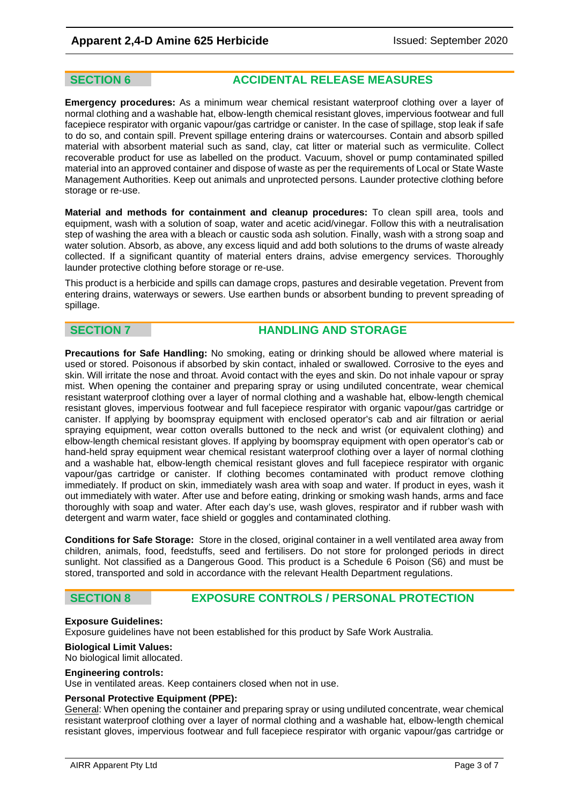**SECTION 6 ACCIDENTAL RELEASE MEASURES**

**Emergency procedures:** As a minimum wear chemical resistant waterproof clothing over a layer of normal clothing and a washable hat, elbow-length chemical resistant gloves, impervious footwear and full facepiece respirator with organic vapour/gas cartridge or canister. In the case of spillage, stop leak if safe to do so, and contain spill. Prevent spillage entering drains or watercourses. Contain and absorb spilled material with absorbent material such as sand, clay, cat litter or material such as vermiculite. Collect recoverable product for use as labelled on the product. Vacuum, shovel or pump contaminated spilled material into an approved container and dispose of waste as per the requirements of Local or State Waste Management Authorities. Keep out animals and unprotected persons. Launder protective clothing before storage or re-use.

**Material and methods for containment and cleanup procedures:** To clean spill area, tools and equipment, wash with a solution of soap, water and acetic acid/vinegar. Follow this with a neutralisation step of washing the area with a bleach or caustic soda ash solution. Finally, wash with a strong soap and water solution. Absorb, as above, any excess liquid and add both solutions to the drums of waste already collected. If a significant quantity of material enters drains, advise emergency services. Thoroughly launder protective clothing before storage or re-use.

This product is a herbicide and spills can damage crops, pastures and desirable vegetation. Prevent from entering drains, waterways or sewers. Use earthen bunds or absorbent bunding to prevent spreading of spillage.

### **SECTION 7 HANDLING AND STORAGE**

**Precautions for Safe Handling:** No smoking, eating or drinking should be allowed where material is used or stored. Poisonous if absorbed by skin contact, inhaled or swallowed. Corrosive to the eyes and skin. Will irritate the nose and throat. Avoid contact with the eyes and skin. Do not inhale vapour or spray mist. When opening the container and preparing spray or using undiluted concentrate, wear chemical resistant waterproof clothing over a layer of normal clothing and a washable hat, elbow-length chemical resistant gloves, impervious footwear and full facepiece respirator with organic vapour/gas cartridge or canister. If applying by boomspray equipment with enclosed operator's cab and air filtration or aerial spraying equipment, wear cotton overalls buttoned to the neck and wrist (or equivalent clothing) and elbow-length chemical resistant gloves. If applying by boomspray equipment with open operator's cab or hand-held spray equipment wear chemical resistant waterproof clothing over a layer of normal clothing and a washable hat, elbow-length chemical resistant gloves and full facepiece respirator with organic vapour/gas cartridge or canister. If clothing becomes contaminated with product remove clothing immediately. If product on skin, immediately wash area with soap and water. If product in eyes, wash it out immediately with water. After use and before eating, drinking or smoking wash hands, arms and face thoroughly with soap and water. After each day's use, wash gloves, respirator and if rubber wash with detergent and warm water, face shield or goggles and contaminated clothing.

**Conditions for Safe Storage:** Store in the closed, original container in a well ventilated area away from children, animals, food, feedstuffs, seed and fertilisers. Do not store for prolonged periods in direct sunlight. Not classified as a Dangerous Good. This product is a Schedule 6 Poison (S6) and must be stored, transported and sold in accordance with the relevant Health Department regulations.

### **SECTION 8 EXPOSURE CONTROLS / PERSONAL PROTECTION**

#### **Exposure Guidelines:**

Exposure guidelines have not been established for this product by Safe Work Australia.

#### **Biological Limit Values:**

No biological limit allocated.

#### **Engineering controls:**

Use in ventilated areas. Keep containers closed when not in use.

#### **Personal Protective Equipment (PPE):**

General: When opening the container and preparing spray or using undiluted concentrate, wear chemical resistant waterproof clothing over a layer of normal clothing and a washable hat, elbow-length chemical resistant gloves, impervious footwear and full facepiece respirator with organic vapour/gas cartridge or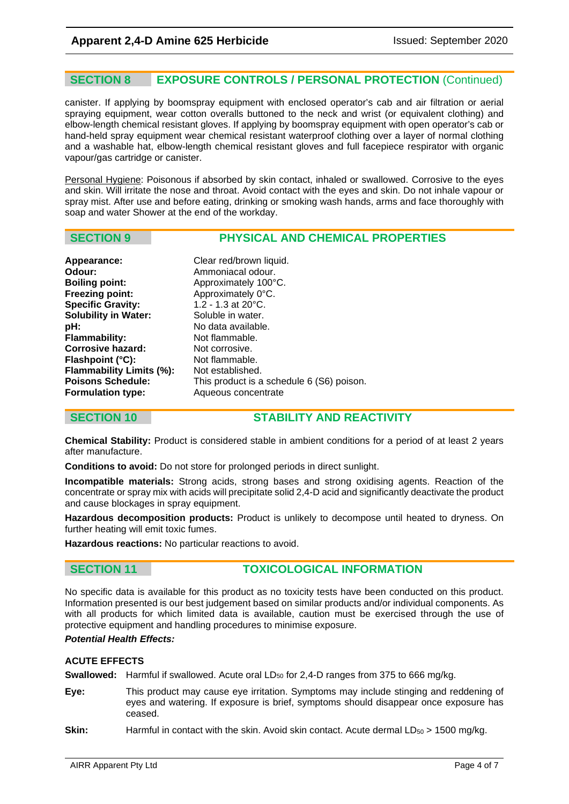### **SECTION 8 EXPOSURE CONTROLS / PERSONAL PROTECTION** (Continued)

canister. If applying by boomspray equipment with enclosed operator's cab and air filtration or aerial spraying equipment, wear cotton overalls buttoned to the neck and wrist (or equivalent clothing) and elbow-length chemical resistant gloves. If applying by boomspray equipment with open operator's cab or hand-held spray equipment wear chemical resistant waterproof clothing over a layer of normal clothing and a washable hat, elbow-length chemical resistant gloves and full facepiece respirator with organic vapour/gas cartridge or canister.

Personal Hygiene: Poisonous if absorbed by skin contact, inhaled or swallowed. Corrosive to the eyes and skin. Will irritate the nose and throat. Avoid contact with the eyes and skin. Do not inhale vapour or spray mist. After use and before eating, drinking or smoking wash hands, arms and face thoroughly with soap and water Shower at the end of the workday.

### **SECTION 9 PHYSICAL AND CHEMICAL PROPERTIES**

| Clear red/brown liquid.                   |
|-------------------------------------------|
| Ammoniacal odour.                         |
| Approximately 100°C.                      |
| Approximately 0°C.                        |
| 1.2 - 1.3 at $20^{\circ}$ C.              |
| Soluble in water.                         |
| No data available.                        |
| Not flammable.                            |
| Not corrosive.                            |
| Not flammable.                            |
| Not established.                          |
| This product is a schedule 6 (S6) poison. |
| Aqueous concentrate                       |
|                                           |

### **SECTION 10 STABILITY AND REACTIVITY**

**Chemical Stability:** Product is considered stable in ambient conditions for a period of at least 2 years after manufacture.

**Conditions to avoid:** Do not store for prolonged periods in direct sunlight.

**Incompatible materials:** Strong acids, strong bases and strong oxidising agents. Reaction of the concentrate or spray mix with acids will precipitate solid 2,4-D acid and significantly deactivate the product and cause blockages in spray equipment.

**Hazardous decomposition products:** Product is unlikely to decompose until heated to dryness. On further heating will emit toxic fumes.

**Hazardous reactions:** No particular reactions to avoid.

### **SECTION 11 TOXICOLOGICAL INFORMATION**

No specific data is available for this product as no toxicity tests have been conducted on this product. Information presented is our best judgement based on similar products and/or individual components. As with all products for which limited data is available, caution must be exercised through the use of protective equipment and handling procedures to minimise exposure.

#### *Potential Health Effects:*

#### **ACUTE EFFECTS**

**Swallowed:** Harmful if swallowed. Acute oral LD<sub>50</sub> for 2,4-D ranges from 375 to 666 mg/kg.

**Eye:** This product may cause eye irritation. Symptoms may include stinging and reddening of eyes and watering. If exposure is brief, symptoms should disappear once exposure has ceased.

**Skin:** Harmful in contact with the skin. Avoid skin contact. Acute dermal LD<sub>50</sub> > 1500 mg/kg.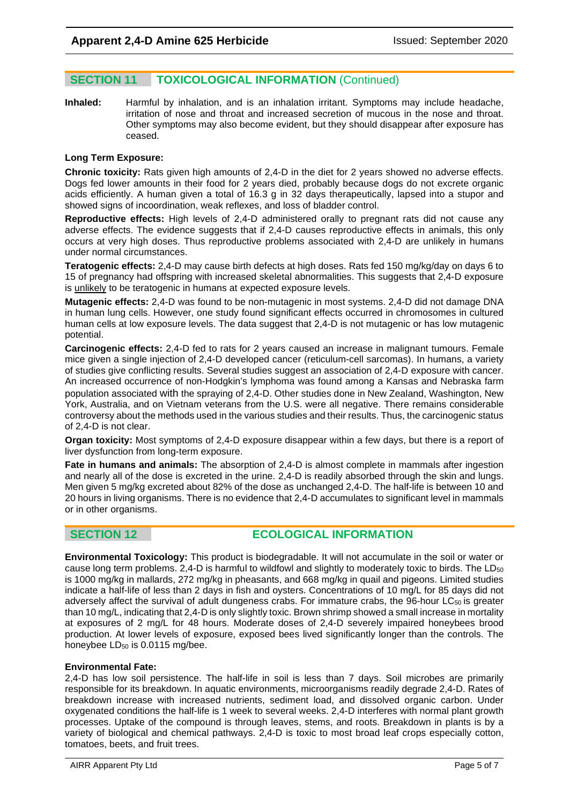### **SECTION 11 TOXICOLOGICAL INFORMATION** (Continued)

**Inhaled:** Harmful by inhalation, and is an inhalation irritant. Symptoms may include headache, irritation of nose and throat and increased secretion of mucous in the nose and throat. Other symptoms may also become evident, but they should disappear after exposure has ceased.

#### **Long Term Exposure:**

**Chronic toxicity:** Rats given high amounts of 2,4-D in the diet for 2 years showed no adverse effects. Dogs fed lower amounts in their food for 2 years died, probably because dogs do not excrete organic acids efficiently. A human given a total of 16.3 g in 32 days therapeutically, lapsed into a stupor and showed signs of incoordination, weak reflexes, and loss of bladder control.

**Reproductive effects:** High levels of 2,4-D administered orally to pregnant rats did not cause any adverse effects. The evidence suggests that if 2,4-D causes reproductive effects in animals, this only occurs at very high doses. Thus reproductive problems associated with 2,4-D are unlikely in humans under normal circumstances.

**Teratogenic effects:** 2,4-D may cause birth defects at high doses. Rats fed 150 mg/kg/day on days 6 to 15 of pregnancy had offspring with increased skeletal abnormalities. This suggests that 2,4-D exposure is unlikely to be teratogenic in humans at expected exposure levels.

**Mutagenic effects:** 2,4-D was found to be non-mutagenic in most systems. 2,4-D did not damage DNA in human lung cells. However, one study found significant effects occurred in chromosomes in cultured human cells at low exposure levels. The data suggest that 2,4-D is not mutagenic or has low mutagenic potential.

**Carcinogenic effects:** 2,4-D fed to rats for 2 years caused an increase in malignant tumours. Female mice given a single injection of 2,4-D developed cancer (reticulum-cell sarcomas). In humans, a variety of studies give conflicting results. Several studies suggest an association of 2,4-D exposure with cancer. An increased occurrence of non-Hodgkin's lymphoma was found among a Kansas and Nebraska farm population associated with the spraying of 2,4-D. Other studies done in New Zealand, Washington, New York, Australia, and on Vietnam veterans from the U.S. were all negative. There remains considerable controversy about the methods used in the various studies and their results. Thus, the carcinogenic status of 2,4-D is not clear.

**Organ toxicity:** Most symptoms of 2,4-D exposure disappear within a few days, but there is a report of liver dysfunction from long-term exposure.

**Fate in humans and animals:** The absorption of 2,4-D is almost complete in mammals after ingestion and nearly all of the dose is excreted in the urine. 2,4-D is readily absorbed through the skin and lungs. Men given 5 mg/kg excreted about 82% of the dose as unchanged 2,4-D. The half-life is between 10 and 20 hours in living organisms. There is no evidence that 2,4-D accumulates to significant level in mammals or in other organisms.

### **SECTION 12 ECOLOGICAL INFORMATION**

**Environmental Toxicology:** This product is biodegradable. It will not accumulate in the soil or water or cause long term problems. 2,4-D is harmful to wildfowl and slightly to moderately toxic to birds. The LD<sub>50</sub> is 1000 mg/kg in mallards, 272 mg/kg in pheasants, and 668 mg/kg in quail and pigeons. Limited studies indicate a half-life of less than 2 days in fish and oysters. Concentrations of 10 mg/L for 85 days did not adversely affect the survival of adult dungeness crabs. For immature crabs, the 96-hour LC<sub>50</sub> is greater than 10 mg/L, indicating that 2,4-D is only slightly toxic. Brown shrimp showed a small increase in mortality at exposures of 2 mg/L for 48 hours. Moderate doses of 2,4-D severely impaired honeybees brood production. At lower levels of exposure, exposed bees lived significantly longer than the controls. The honeybee  $LD_{50}$  is 0.0115 mg/bee.

#### **Environmental Fate:**

2,4-D has low soil persistence. The half-life in soil is less than 7 days. Soil microbes are primarily responsible for its breakdown. In aquatic environments, microorganisms readily degrade 2,4-D. Rates of breakdown increase with increased nutrients, sediment load, and dissolved organic carbon. Under oxygenated conditions the half-life is 1 week to several weeks. 2,4-D interferes with normal plant growth processes. Uptake of the compound is through leaves, stems, and roots. Breakdown in plants is by a variety of biological and chemical pathways. 2,4-D is toxic to most broad leaf crops especially cotton, tomatoes, beets, and fruit trees.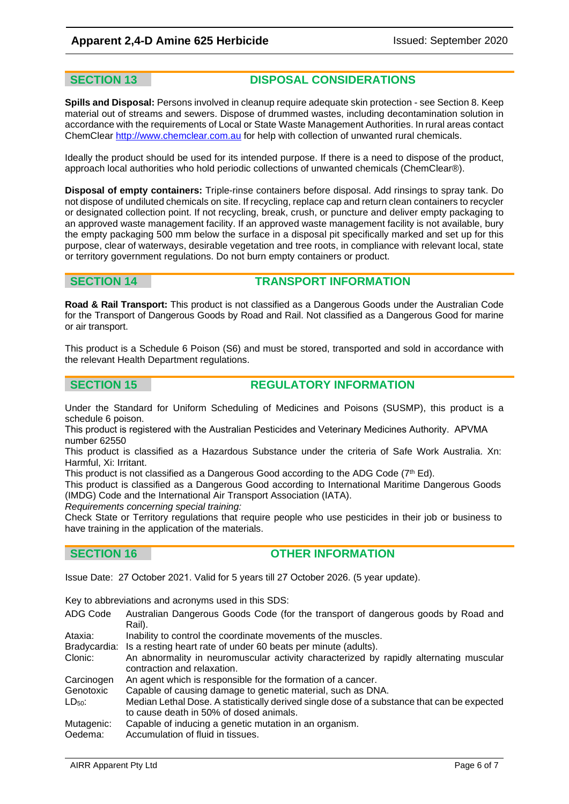**SECTION 13 DISPOSAL CONSIDERATIONS**

**Spills and Disposal:** Persons involved in cleanup require adequate skin protection - see Section 8. Keep material out of streams and sewers. Dispose of drummed wastes, including decontamination solution in accordance with the requirements of Local or State Waste Management Authorities. In rural areas contact ChemClear [http://www.chemclear.com.au](http://www.chemclear.com.au/) for help with collection of unwanted rural chemicals.

Ideally the product should be used for its intended purpose. If there is a need to dispose of the product, approach local authorities who hold periodic collections of unwanted chemicals (ChemClear®).

**Disposal of empty containers:** Triple-rinse containers before disposal. Add rinsings to spray tank. Do not dispose of undiluted chemicals on site. If recycling, replace cap and return clean containers to recycler or designated collection point. If not recycling, break, crush, or puncture and deliver empty packaging to an approved waste management facility. If an approved waste management facility is not available, bury the empty packaging 500 mm below the surface in a disposal pit specifically marked and set up for this purpose, clear of waterways, desirable vegetation and tree roots, in compliance with relevant local, state or territory government regulations. Do not burn empty containers or product.

### **SECTION 14 TRANSPORT INFORMATION**

**Road & Rail Transport:** This product is not classified as a Dangerous Goods under the Australian Code for the Transport of Dangerous Goods by Road and Rail. Not classified as a Dangerous Good for marine or air transport.

This product is a Schedule 6 Poison (S6) and must be stored, transported and sold in accordance with the relevant Health Department regulations.

### **SECTION 15 REGULATORY INFORMATION**

Under the Standard for Uniform Scheduling of Medicines and Poisons (SUSMP), this product is a schedule 6 poison.

This product is registered with the Australian Pesticides and Veterinary Medicines Authority. APVMA number 62550

This product is classified as a Hazardous Substance under the criteria of Safe Work Australia. Xn: Harmful, Xi: Irritant.

This product is not classified as a Dangerous Good according to the ADG Code ( $7^{\mathsf{th}}$  Ed).

This product is classified as a Dangerous Good according to International Maritime Dangerous Goods (IMDG) Code and the International Air Transport Association (IATA).

*Requirements concerning special training:* 

Check State or Territory regulations that require people who use pesticides in their job or business to have training in the application of the materials.

### **SECTION 16 OTHER INFORMATION**

Issue Date: 27 October 2021. Valid for 5 years till 27 October 2026. (5 year update).

Key to abbreviations and acronyms used in this SDS:

ADG Code Australian Dangerous Goods Code (for the transport of dangerous goods by Road and Rail).

Ataxia: Inability to control the coordinate movements of the muscles.

Bradycardia: Is a resting heart rate of under 60 beats per minute (adults).<br>Clonic: An abnormality in neuromuscular activity characterized by

An abnormality in neuromuscular activity characterized by rapidly alternating muscular contraction and relaxation.

Carcinogen An agent which is responsible for the formation of a cancer.

Genotoxic Capable of causing damage to genetic material, such as DNA.

LD<sub>50</sub>: Median Lethal Dose. A statistically derived single dose of a substance that can be expected to cause death in 50% of dosed animals.

Mutagenic: Capable of inducing a genetic mutation in an organism.

Oedema: Accumulation of fluid in tissues.